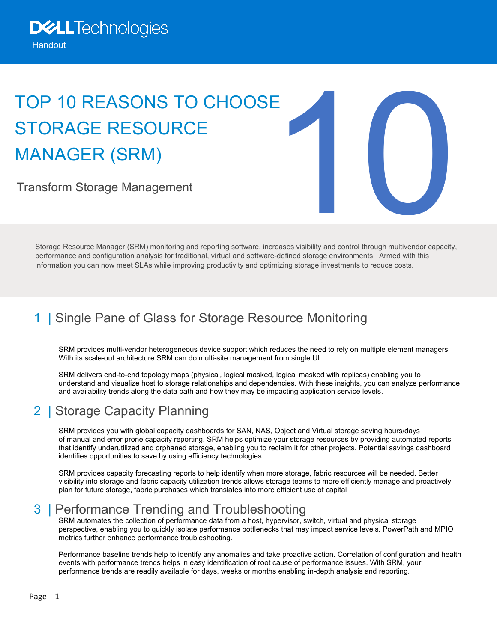# TOP 10 REASONS TO CHOOSE STORAGE RESOURCE MANAGER (SRM)

Transform Storage Management



Storage Resource Manager (SRM) monitoring and reporting software, increases visibility and control through multivendor capacity, performance and configuration analysis for traditional, virtual and software-defined storage environments. Armed with this information you can now meet SLAs while improving productivity and optimizing storage investments to reduce costs.

# 1 | Single Pane of Glass for Storage Resource Monitoring

SRM provides multi-vendor heterogeneous device support which reduces the need to rely on multiple element managers. With its scale-out architecture SRM can do multi-site management from single UI.

SRM delivers end-to-end topology maps (physical, logical masked, logical masked with replicas) enabling you to understand and visualize host to storage relationships and dependencies. With these insights, you can analyze performance and availability trends along the data path and how they may be impacting application service levels.

# 2 | Storage Capacity Planning

SRM provides you with global capacity dashboards for SAN, NAS, Object and Virtual storage saving hours/days of manual and error prone capacity reporting. SRM helps optimize your storage resources by providing automated reports that identify underutilized and orphaned storage, enabling you to reclaim it for other projects. Potential savings dashboard identifies opportunities to save by using efficiency technologies.

SRM provides capacity forecasting reports to help identify when more storage, fabric resources will be needed. Better visibility into storage and fabric capacity utilization trends allows storage teams to more efficiently manage and proactively plan for future storage, fabric purchases which translates into more efficient use of capital

# 3 | Performance Trending and Troubleshooting

SRM automates the collection of performance data from a host, hypervisor, switch, virtual and physical storage perspective, enabling you to quickly isolate performance bottlenecks that may impact service levels. PowerPath and MPIO metrics further enhance performance troubleshooting.

Performance baseline trends help to identify any anomalies and take proactive action. Correlation of configuration and health events with performance trends helps in easy identification of root cause of performance issues. With SRM, your performance trends are readily available for days, weeks or months enabling in-depth analysis and reporting.